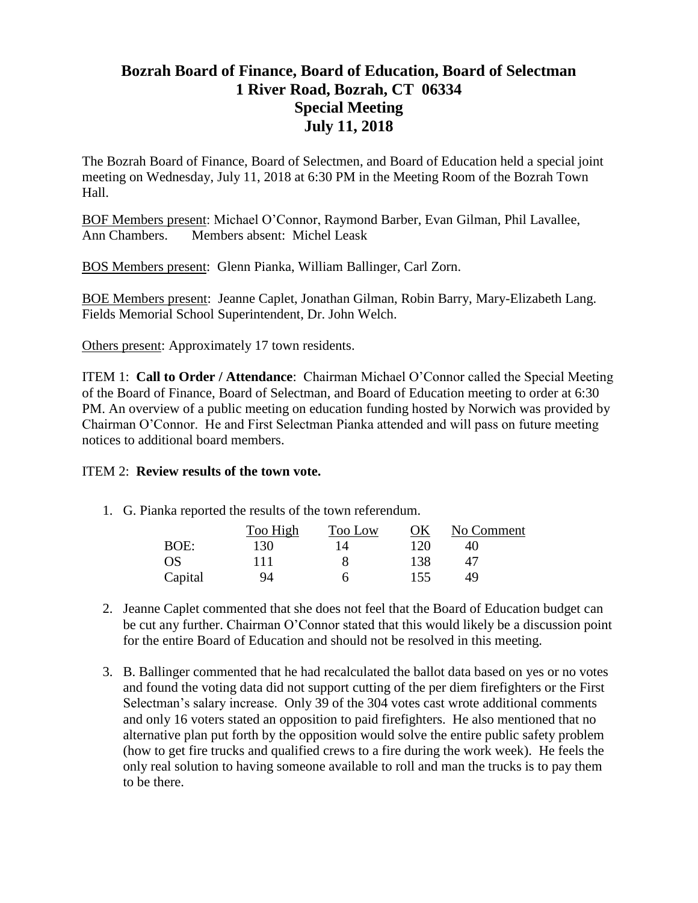## **Bozrah Board of Finance, Board of Education, Board of Selectman 1 River Road, Bozrah, CT 06334 Special Meeting July 11, 2018**

The Bozrah Board of Finance, Board of Selectmen, and Board of Education held a special joint meeting on Wednesday, July 11, 2018 at 6:30 PM in the Meeting Room of the Bozrah Town Hall.

BOF Members present: Michael O'Connor, Raymond Barber, Evan Gilman, Phil Lavallee, Ann Chambers. Members absent: Michel Leask

BOS Members present: Glenn Pianka, William Ballinger, Carl Zorn.

BOE Members present: Jeanne Caplet, Jonathan Gilman, Robin Barry, Mary-Elizabeth Lang. Fields Memorial School Superintendent, Dr. John Welch.

Others present: Approximately 17 town residents.

ITEM 1: **Call to Order / Attendance**: Chairman Michael O'Connor called the Special Meeting of the Board of Finance, Board of Selectman, and Board of Education meeting to order at 6:30 PM. An overview of a public meeting on education funding hosted by Norwich was provided by Chairman O'Connor. He and First Selectman Pianka attended and will pass on future meeting notices to additional board members.

## ITEM 2: **Review results of the town vote.**

1. G. Pianka reported the results of the town referendum.

|           | Too High | Too Low | OК  | No Comment |
|-----------|----------|---------|-----|------------|
| BOE:      | 130      | 14      | 120 | 40         |
| <b>OS</b> | 111      |         | 138 | 47         |
| Capital   | 94       | h       | 155 | 49         |

- 2. Jeanne Caplet commented that she does not feel that the Board of Education budget can be cut any further. Chairman O'Connor stated that this would likely be a discussion point for the entire Board of Education and should not be resolved in this meeting.
- 3. B. Ballinger commented that he had recalculated the ballot data based on yes or no votes and found the voting data did not support cutting of the per diem firefighters or the First Selectman's salary increase. Only 39 of the 304 votes cast wrote additional comments and only 16 voters stated an opposition to paid firefighters. He also mentioned that no alternative plan put forth by the opposition would solve the entire public safety problem (how to get fire trucks and qualified crews to a fire during the work week). He feels the only real solution to having someone available to roll and man the trucks is to pay them to be there.